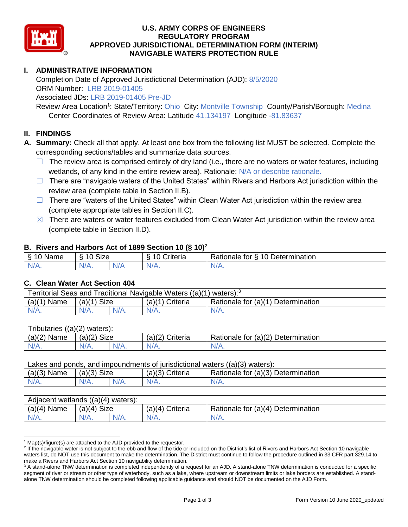

### **U.S. ARMY CORPS OF ENGINEERS REGULATORY PROGRAM APPROVED JURISDICTIONAL DETERMINATION FORM (INTERIM) NAVIGABLE WATERS PROTECTION RULE**

## **I. ADMINISTRATIVE INFORMATION**

Completion Date of Approved Jurisdictional Determination (AJD): 8/5/2020 ORM Number: LRB 2019-01405

Associated JDs: LRB 2019-01405 Pre-JD

Review Area Location<sup>1</sup>: State/Territory: Ohio City: Montville Township County/Parish/Borough: Medina Center Coordinates of Review Area: Latitude 41.134197 Longitude -81.83637

#### **II. FINDINGS**

**A. Summary:** Check all that apply. At least one box from the following list MUST be selected. Complete the corresponding sections/tables and summarize data sources.

- $\Box$  The review area is comprised entirely of dry land (i.e., there are no waters or water features, including wetlands, of any kind in the entire review area). Rationale: N/A or describe rationale.
- $\Box$  There are "navigable waters of the United States" within Rivers and Harbors Act jurisdiction within the review area (complete table in Section II.B).
- $\Box$  There are "waters of the United States" within Clean Water Act jurisdiction within the review area (complete appropriate tables in Section II.C).
- $\boxtimes$  There are waters or water features excluded from Clean Water Act jurisdiction within the review area (complete table in Section II.D).

#### **B. Rivers and Harbors Act of 1899 Section 10 (§ 10)**<sup>2</sup>

| . .      |                                            |   |                                 |                                           |  |
|----------|--------------------------------------------|---|---------------------------------|-------------------------------------------|--|
| Name     | <b>Size</b><br>$\overline{A}$<br>C.<br>ΙА. |   | . .<br>10<br>-<br>`rıteria<br>v | 10 Determination<br>-<br>tor<br>≺atıonale |  |
| N/f<br>. | N/A.                                       | w |                                 | N/A.                                      |  |

#### **C. Clean Water Act Section 404**

| Territorial Seas and Traditional Navigable Waters $((a)(1)$ waters): <sup>3</sup> |                |  |                   |                                    |  |
|-----------------------------------------------------------------------------------|----------------|--|-------------------|------------------------------------|--|
| (a)(1)<br>Name                                                                    | Size<br>(a)(1) |  | $(a)(1)$ Criteria | Rationale for (a)(1) Determination |  |
|                                                                                   | $N/A$ .        |  | $N/A$ .           | $N/A$ .                            |  |

| Tributaries $((a)(2)$ waters): |                |      |                 |                                    |  |
|--------------------------------|----------------|------|-----------------|------------------------------------|--|
| $(a)(2)$ Name                  | Size<br>(a)(2) |      | (a)(2) Criteria | Rationale for (a)(2) Determination |  |
| $N/A$ .                        | $N/A$ .        | N/A. | $N/A$ .         | N/A.                               |  |

| Lakes and ponds, and impoundments of jurisdictional waters $((a)(3)$ waters): |               |         |                   |                                    |
|-------------------------------------------------------------------------------|---------------|---------|-------------------|------------------------------------|
| $(a)(3)$ Name                                                                 | $(a)(3)$ Size |         | $(a)(3)$ Criteria | Rationale for (a)(3) Determination |
| $N/A$ .                                                                       | $N/A$ .       | $N/A$ . | $N/A$ .           | $N/A$ .                            |

| Adjacent wetlands $((a)(4)$ waters): |                       |         |                    |                                    |  |
|--------------------------------------|-----------------------|---------|--------------------|------------------------------------|--|
| $(a)(4)$ Name                        | <b>Size</b><br>(a)(4) |         | Criteria<br>(a)(4) | Rationale for (a)(4) Determination |  |
| $N/A$ .                              | $N/A$ .               | $N/A$ . | $N/A$ .            | $N/A$ .                            |  |

 $1$  Map(s)/figure(s) are attached to the AJD provided to the requestor.

<sup>&</sup>lt;sup>2</sup> If the navigable water is not subject to the ebb and flow of the tide or included on the District's list of Rivers and Harbors Act Section 10 navigable waters list, do NOT use this document to make the determination. The District must continue to follow the procedure outlined in 33 CFR part 329.14 to make a Rivers and Harbors Act Section 10 navigability determination.

<sup>&</sup>lt;sup>3</sup> A stand-alone TNW determination is completed independently of a request for an AJD. A stand-alone TNW determination is conducted for a specific segment of river or stream or other type of waterbody, such as a lake, where upstream or downstream limits or lake borders are established. A standalone TNW determination should be completed following applicable guidance and should NOT be documented on the AJD Form.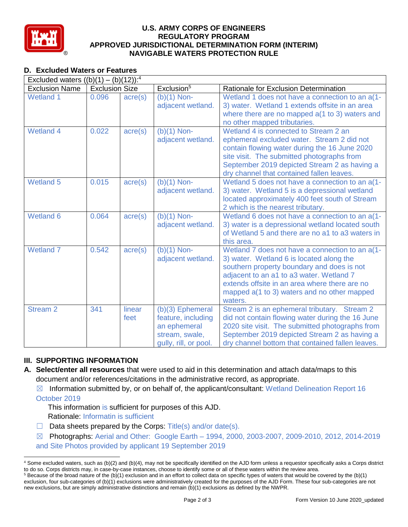

### **U.S. ARMY CORPS OF ENGINEERS REGULATORY PROGRAM APPROVED JURISDICTIONAL DETERMINATION FORM (INTERIM) NAVIGABLE WATERS PROTECTION RULE**

# **D. Excluded Waters or Features**

| Excluded waters $((b)(1) - (b)(12))$ : <sup>4</sup> |                       |                  |                                                                                                     |                                                                                                                                                                                                                                                                                                  |  |
|-----------------------------------------------------|-----------------------|------------------|-----------------------------------------------------------------------------------------------------|--------------------------------------------------------------------------------------------------------------------------------------------------------------------------------------------------------------------------------------------------------------------------------------------------|--|
| <b>Exclusion Name</b>                               | <b>Exclusion Size</b> |                  | Exclusion <sup>5</sup>                                                                              | Rationale for Exclusion Determination                                                                                                                                                                                                                                                            |  |
| <b>Wetland 1</b>                                    | 0.096                 | $\text{acre}(s)$ | $(b)(1)$ Non-<br>adjacent wetland.                                                                  | Wetland 1 does not have a connection to an a(1-<br>3) water. Wetland 1 extends offsite in an area<br>where there are no mapped a(1 to 3) waters and<br>no other mapped tributaries.                                                                                                              |  |
| <b>Wetland 4</b>                                    | 0.022                 | acre(s)          | $(b)(1)$ Non-<br>adjacent wetland.                                                                  | Wetland 4 is connected to Stream 2 an<br>ephemeral excluded water. Stream 2 did not<br>contain flowing water during the 16 June 2020<br>site visit. The submitted photographs from<br>September 2019 depicted Stream 2 as having a<br>dry channel that contained fallen leaves.                  |  |
| <b>Wetland 5</b>                                    | 0.015                 | acre(s)          | $(b)(1)$ Non-<br>adjacent wetland.                                                                  | Wetland 5 does not have a connection to an a(1-<br>3) water. Wetland 5 is a depressional wetland<br>located approximately 400 feet south of Stream<br>2 which is the nearest tributary.                                                                                                          |  |
| Wetland 6                                           | 0.064                 | $\text{acre}(s)$ | $(b)(1)$ Non-<br>adjacent wetland.                                                                  | Wetland 6 does not have a connection to an a(1-<br>3) water is a depressional wetland located south<br>of Wetland 5 and there are no a1 to a3 waters in<br>this area.                                                                                                                            |  |
| <b>Wetland 7</b>                                    | 0.542                 | acre(s)          | $(b)(1)$ Non-<br>adjacent wetland.                                                                  | Wetland 7 does not have a connection to an a(1-<br>3) water. Wetland 6 is located along the<br>southern property boundary and does is not<br>adjacent to an a1 to a3 water. Wetland 7<br>extends offsite in an area where there are no<br>mapped a(1 to 3) waters and no other mapped<br>waters. |  |
| <b>Stream 2</b>                                     | 341                   | linear<br>feet   | $(b)(3)$ Ephemeral<br>feature, including<br>an ephemeral<br>stream, swale,<br>gully, rill, or pool. | Stream 2 is an ephemeral tributary. Stream 2<br>did not contain flowing water during the 16 June<br>2020 site visit. The submitted photographs from<br>September 2019 depicted Stream 2 as having a<br>dry channel bottom that contained fallen leaves.                                          |  |

# **III. SUPPORTING INFORMATION**

- **A. Select/enter all resources** that were used to aid in this determination and attach data/maps to this document and/or references/citations in the administrative record, as appropriate.
	- $\boxtimes$  Information submitted by, or on behalf of, the applicant/consultant: Wetland Delineation Report 16

October 2019

This information is sufficient for purposes of this AJD.

Rationale: Informatin is sufficient

- $\Box$  Data sheets prepared by the Corps: Title(s) and/or date(s).
- ☒ Photographs: Aerial and Other: Google Earth 1994, 2000, 2003-2007, 2009-2010, 2012, 2014-2019 and Site Photos provided by applicant 19 September 2019

<sup>4</sup> Some excluded waters, such as (b)(2) and (b)(4), may not be specifically identified on the AJD form unless a requestor specifically asks a Corps district to do so. Corps districts may, in case-by-case instances, choose to identify some or all of these waters within the review area.  $5$  Because of the broad nature of the (b)(1) exclusion and in an effort to collect data on specific types of waters that would be covered by the (b)(1)

exclusion, four sub-categories of (b)(1) exclusions were administratively created for the purposes of the AJD Form. These four sub-categories are not new exclusions, but are simply administrative distinctions and remain (b)(1) exclusions as defined by the NWPR.